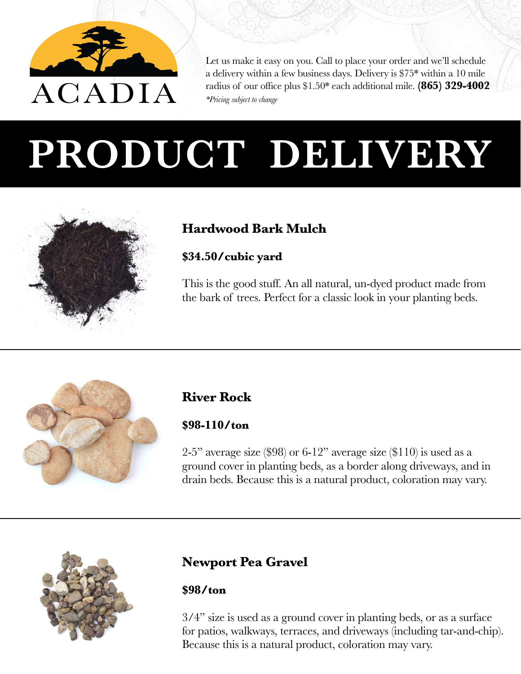

Let us make it easy on you. Call to place your order and we'll schedule a delivery within a few business days. Delivery is \$75\* within a 10 mile radius of our office plus \$1.50\* each additional mile. **(865) 329-4002** *\*Pricing subject to change*

# **PRODUCT DELIVERY**



## **Hardwood Bark Mulch**

## **\$34.50/cubic yard**

This is the good stuff. An all natural, un-dyed product made from the bark of trees. Perfect for a classic look in your planting beds.



## **River Rock**

#### **\$98-110/ton**

2-5" average size  $(\$98)$  or 6-12" average size  $(\$110)$  is used as a ground cover in planting beds, as a border along driveways, and in drain beds. Because this is a natural product, coloration may vary.



## **Newport Pea Gravel**

#### **\$98/ton**

3/4" size is used as a ground cover in planting beds, or as a surface for patios, walkways, terraces, and driveways (including tar-and-chip). Because this is a natural product, coloration may vary.